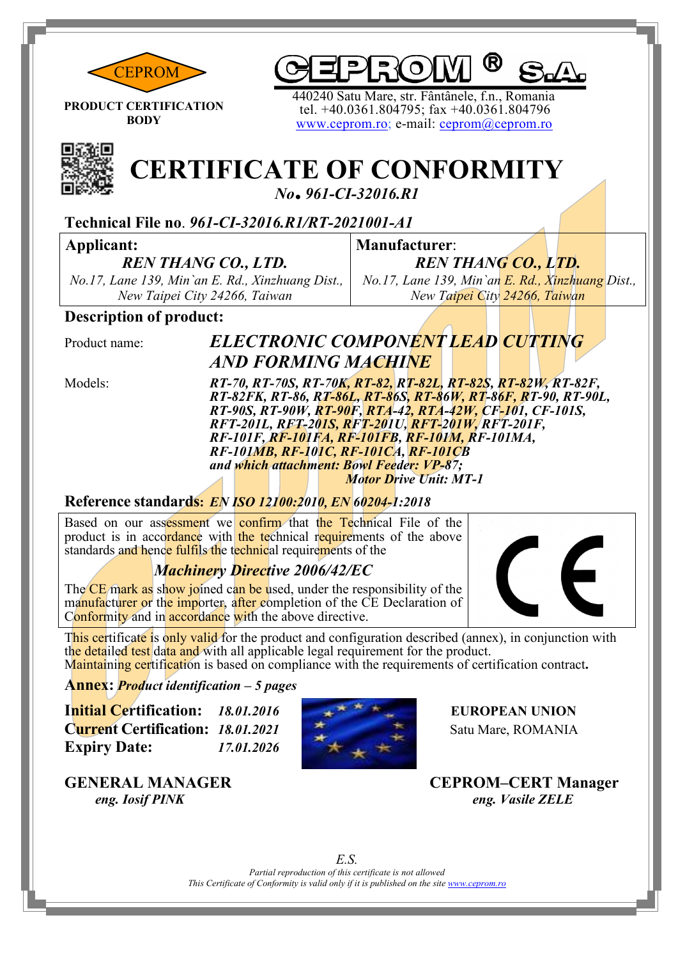



**PRODUCT CERTIFICATION BODY**

 440240 Satu Mare, str. Fântânele, f.n., Romania tel. +40.0361.804795; fax +40.0361.804796 [www.ceprom.ro;](http://www.ceprom.ro/) e-mail: [ceprom@ceprom.ro](mailto:ceprom@ceprom.ro)



# **CERTIFICATE OF CONFORMITY**

*No***.** *961-CI-32016.R1*

#### **Technical File no**. *961-CI-32016.R1/RT-2021001-A1*

#### **Applicant:**

*REN THANG CO., LTD.*

*No.17, Lane 139, Min`an E. Rd., Xinzhuang Dist., New Taipei City 24266, Taiwan*

**Manufacturer**: *REN THANG CO., LTD. No.17, Lane 139, Min`an E. Rd., Xinzhuang Dist.,* 

*New Taipei City 24266, Taiwan*

#### **Description of product:**

## Product name: *ELECTRONIC COMPONENT LEAD CUTTING AND FORMING MACHINE*

Models: *RT-70, RT-70S, RT-70K, RT-82, RT-82L, RT-82S, RT-82W, RT-82F, RT-82FK, RT-86, RT-86L, RT-86S, RT-86W, RT-86F, RT-90, RT-90L, RT-90S, RT-90W, RT-90F, RTA-42, RTA-42W, CF-101, CF-101S, RFT-201L, RFT-201S, RFT-201U, RFT-201W, RFT-201F, RF-101F, RF-101FA, RF-101FB, RF-101M, RF-101MA, RF-101MB, RF-101C, RF-101CA, RF-101CB and which attachment: Bowl Feeder: VP-87; Motor Drive Unit: MT-1*

#### **Reference standards:** *EN ISO 12100:2010, EN 60204-1:2018*

Based on our assessment we confirm that the Technical File of the product is in accordance with the technical requirements of the above standards and hence fulfils the technical requirements of the

#### *Machinery Directive 2006/42/EC*

The CE mark as show joined can be used, under the responsibility of the manufacturer or the importer, after completion of the CE Declaration of Conformity and in **accordance** with the above directive.



This certificate is only valid for the product and configuration described (annex), in conjunction with the detailed test data and with all applicable legal requirement for the product. Maintaining certification is based on compliance with the requirements of certification contract**.**

#### **Annex:** *Product identification – 5 pages*

**Initial Certification:** *18.01.2016* **EUROPEAN UNION Current Certification:** *18.01.2021*  $\qquad \qquad \star$  Satu Mare, ROMANIA **Expiry Date:** *17.01.2026*



**GENERAL MANAGER CEPROM–CERT Manager**

*Partial reproduction of this certificate is not allowed This Certificate of Conformity is valid only if it is published on the site [www.ceprom.ro](http://www.ceprom.ro/) E.S.*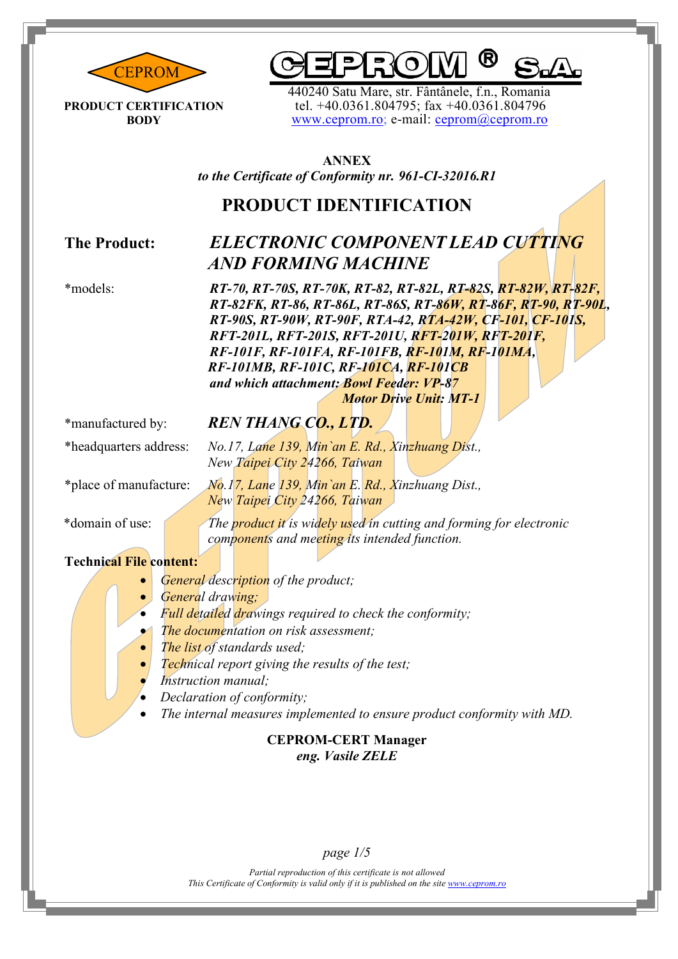

R

**PRODUCT CERTIFICATION BODY**

440240 Satu Mare, str. Fântânele, f.n., Romania<br>[tel. +40.0361.80](http://www.ceprom.ro/)4795; f[ax +40.0361.804796](mailto:ceprom@ceprom.ro)<br>[www.ceprom.ro;](http://www.ceprom.ro/) e-mail: [ceprom@ceprom.ro](mailto:ceprom@ceprom.ro)

**ANNEX** *to the Certificate of Conformity nr. 961-CI-32016.R1*

## **PRODUCT IDENTIFICATION**

## **The Product:** *ELECTRONIC COMPONENT LEAD CUTTING AND FORMING MACHINE*

\*models: *RT-70, RT-70S, RT-70K, RT-82, RT-82L, RT-82S, RT-82W, RT-82F, RT-82FK, RT-86, RT-86L, RT-86S, RT-86W, RT-86F, RT-90, RT-90L, RT-90S, RT-90W, RT-90F, RTA-42, RTA-42W, CF-101, CF-101S, RFT-201L, RFT-201S, RFT-201U, RFT-201W, RFT-201F, RF-101F, RF-101FA, RF-101FB, RF-101M, RF-101MA, RF-101MB, RF-101C, RF-101CA, RF-101CB and which attachment: Bowl Feeder: VP-87 Motor Drive Unit: MT-1*

#### \*manufactured by: *REN THANG CO., LTD.*

\*headquarters address: *No.17, Lane 139, Min`an E. Rd., Xinzhuang Dist., New Taipei City 24266, Taiwan*

\*place of manufacture: *No.17, Lane 139, Min`an E. Rd., Xinzhuang Dist., New Taipei City 24266, Taiwan*

\*domain of use: *The product it is widely used in cutting and forming for electronic components and meeting its intended function.*

#### **Technical File content:**

- *General description of the product;*
- *General drawing;*
- *Full detailed drawings required to check the conformity;*
- *The documentation on risk assessment;*
- *The list of standards used;*
- *Technical report giving the results of the test;*
- *Instruction manual;*
- *Declaration of conformity;*
- *The internal measures implemented to ensure product conformity with MD.*

#### **CEPROM-CERT Manager** *eng. Vasile ZELE*

#### *page 1/5*

*Partial reproduction of this certificate is not allowed This Certificate of Conformity is valid only if it is published on the site [www.ceprom.ro](http://www.ceprom.ro/)*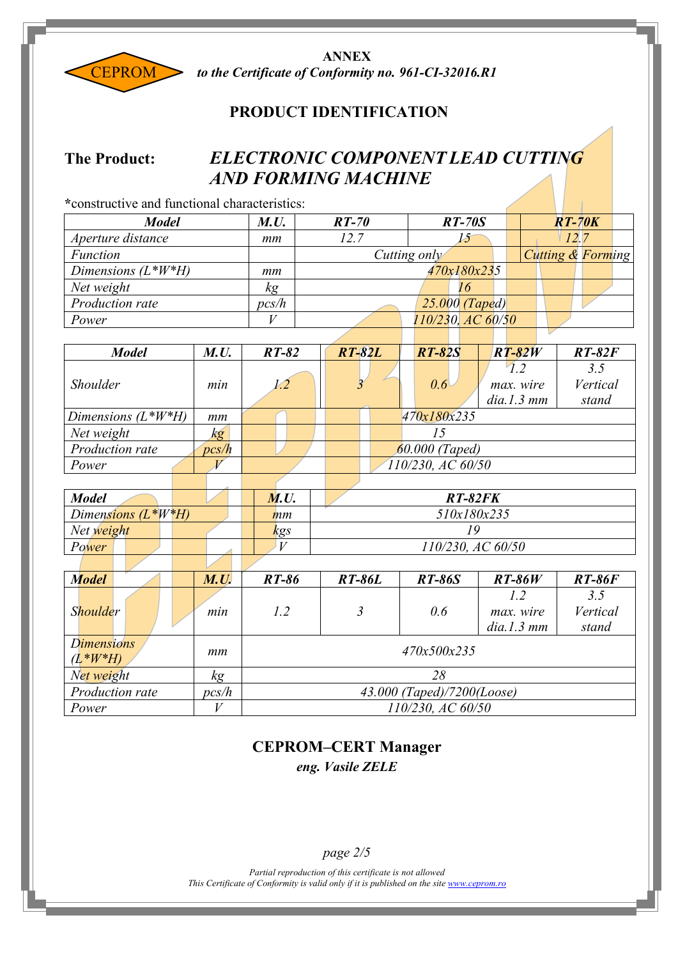

**ANNEX** *to the Certificate of Conformity no. 961-CI-32016.R1*

#### **PRODUCT IDENTIFICATION**

#### **The Product:** *ELECTRONIC COMPONENT LEAD CUTTING AND FORMING MACHINE*

| *constructive and functional characteristics: |                 |                |         |               |                   |                       |                   |                                |                              |
|-----------------------------------------------|-----------------|----------------|---------|---------------|-------------------|-----------------------|-------------------|--------------------------------|------------------------------|
| <b>Model</b>                                  |                 | <b>M.U.</b>    | $RT-70$ |               |                   | $RT-70S$              |                   |                                | $RT-70K$                     |
| Aperture distance                             |                 | mm             | 12.7    |               |                   | 15                    |                   |                                | 12.7                         |
| <b>Function</b>                               |                 |                |         |               | Cutting only      |                       |                   |                                | <b>Cutting &amp; Forming</b> |
| Dimensions $(L^*W^*H)$                        |                 | mm             |         |               |                   | 470x180x235           |                   |                                |                              |
| Net weight                                    |                 | kg             |         |               |                   | 16                    |                   |                                |                              |
| <b>Production rate</b>                        |                 | pcs/h          |         |               |                   | <b>25.000 (Taped)</b> |                   |                                |                              |
| Power                                         |                 | V              |         |               |                   |                       | 110/230, AC 60/50 |                                |                              |
|                                               |                 |                |         |               |                   |                       |                   |                                |                              |
| <b>Model</b>                                  | M.U.            | $RT-82$        |         | <b>RT-82L</b> | $RT-82S$          |                       |                   | $RT-82W$                       | $RT-82F$                     |
| <b>Shoulder</b>                               | min             | 1.2            |         |               | 0.6 <sup>l</sup>  |                       |                   | 1.2<br>max. wire<br>dia.1.3 mm | 3.5<br>Vertical<br>stand     |
| Dimensions $(L^*W^*H)$                        | mm              |                |         |               | 470x180x235       |                       |                   |                                |                              |
| Net weight                                    | $k\overline{g}$ |                |         |               | 15                |                       |                   |                                |                              |
| Production rate                               | pcs/h           |                |         |               | 60.000 (Taped)    |                       |                   |                                |                              |
| Power                                         | $\overline{V}$  |                |         |               | 110/230, AC 60/50 |                       |                   |                                |                              |
|                                               |                 |                |         |               |                   |                       |                   |                                |                              |
| <b>Model</b>                                  | M.U.            | <b>RT-82FK</b> |         |               |                   |                       |                   |                                |                              |
| Dimensions $(L^*W^*H)$                        | $\mathbf{m}$    | 510x180x235    |         |               |                   |                       |                   |                                |                              |
| Net weight                                    |                 | kgs            |         | 19            |                   |                       |                   |                                |                              |
| Power                                         |                 | $\bar{V}$      |         |               |                   | 110/230, AC 60/50     |                   |                                |                              |

| <b>Model</b>                     |                 | M.U.  | RT-86                      | <b>RT-86L</b> | <b>RT-86S</b> | $RT-86W$         | <b>RT-86F</b> |  |  |
|----------------------------------|-----------------|-------|----------------------------|---------------|---------------|------------------|---------------|--|--|
|                                  |                 |       |                            |               |               | 12               | 3.5           |  |  |
| <b>Shoulder</b>                  |                 | min   | 1.2                        |               | 0.6           | <i>max.</i> wire | Vertical      |  |  |
|                                  |                 |       |                            |               |               | dia.1.3 mm       | stand         |  |  |
| <b>Dimensions</b><br>$(L^*W^*H)$ |                 | mm    | 470x500x235                |               |               |                  |               |  |  |
| Net weight                       |                 | kg    | 28                         |               |               |                  |               |  |  |
|                                  | Production rate | pcs/h | 43.000 (Taped)/7200(Loose) |               |               |                  |               |  |  |
| Power                            |                 |       | 110/230, AC 60/50          |               |               |                  |               |  |  |

## **CEPROM–CERT Manager**

*eng. Vasile ZELE*

*page 2/5*

*Partial reproduction of this certificate is not allowed This Certificate of Conformity is valid only if it is published on the site [www.ceprom.ro](http://www.ceprom.ro/)*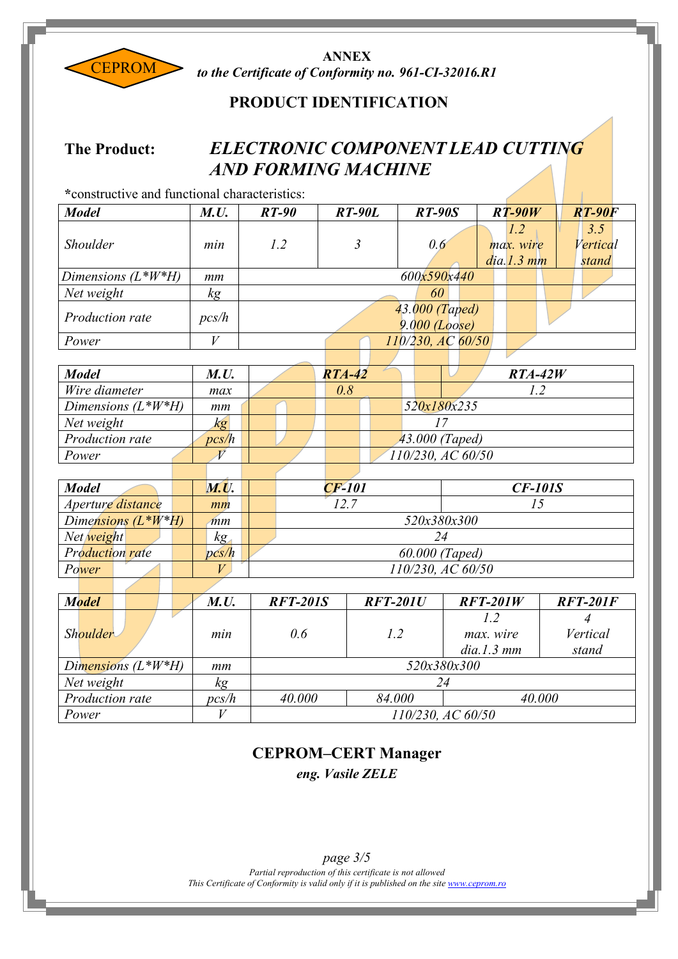

**ANNEX** *to the Certificate of Conformity no. 961-CI-32016.R1*

#### **PRODUCT IDENTIFICATION**

#### **The Product:** *ELECTRONIC COMPONENT LEAD CUTTING AND FORMING MACHINE*

| *constructive and functional characteristics: |                   |                   |                            |                                   |                                |                          |  |  |  |
|-----------------------------------------------|-------------------|-------------------|----------------------------|-----------------------------------|--------------------------------|--------------------------|--|--|--|
| <b>Model</b>                                  | M.U.              | $RT-90$           | <b>RT-90L</b>              | <b>RT-90S</b>                     | $RT-90W$                       | <b>RT-90F</b>            |  |  |  |
| Shoulder                                      | min               | 1.2               | $\mathfrak{Z}$             | 0.6                               | 1.2<br>max. wire<br>dia.1.3 mm | 3.5<br>Vertical<br>stand |  |  |  |
| Dimensions $(L^*W^*H)$                        | mm                |                   | 600x590x440                |                                   |                                |                          |  |  |  |
| Net weight                                    | kg                |                   |                            | 60                                |                                |                          |  |  |  |
| Production rate                               | pcs/h             |                   |                            | 43.000 (Taped)<br>$9.000$ (Loose) |                                |                          |  |  |  |
| Power                                         | $\boldsymbol{V}$  |                   |                            | 110/230, AC 60/50                 |                                |                          |  |  |  |
|                                               |                   |                   |                            |                                   |                                |                          |  |  |  |
| <b>Model</b>                                  | M.U.              |                   | $RTA-42$                   |                                   | $RTA-42W$                      |                          |  |  |  |
| Wire diameter                                 | max               |                   | 0.8                        |                                   | 1.2                            |                          |  |  |  |
| Dimensions $(L^*W^*H)$                        | mm                |                   | 520x180x235                |                                   |                                |                          |  |  |  |
| Net weight                                    | $k_{\mathcal{S}}$ |                   | 17                         |                                   |                                |                          |  |  |  |
| <b>Production rate</b>                        | pcs/h             | 43.000 (Taped)    |                            |                                   |                                |                          |  |  |  |
| Power                                         | $\overline{V}$    | 110/230, AC 60/50 |                            |                                   |                                |                          |  |  |  |
|                                               |                   |                   |                            |                                   |                                |                          |  |  |  |
| <b>Model</b>                                  | <b>M.U.</b>       |                   | $CF-101$                   |                                   | <b>CF-101S</b>                 |                          |  |  |  |
| Aperture distance                             | mm                |                   | 12.7                       |                                   | 15                             |                          |  |  |  |
| Dimensions $(L^*W^*H)$                        | $\overline{mm}$   |                   |                            | 520x380x300                       |                                |                          |  |  |  |
| Net weight                                    | kg                |                   |                            | 24                                |                                |                          |  |  |  |
| <b>Production rate</b>                        | pcs/h             |                   |                            | 60.000 (Taped)                    |                                |                          |  |  |  |
| Power                                         | V                 |                   |                            | 110/230, AC 60/50                 |                                |                          |  |  |  |
|                                               |                   |                   |                            |                                   |                                |                          |  |  |  |
| <b>Model</b>                                  | M.U.              | <b>RFT-201S</b>   | <b>RFT-201U</b>            |                                   | $RFT-201W$                     | <b>RFT-201F</b>          |  |  |  |
|                                               |                   |                   |                            |                                   | 1.2                            | $\overline{4}$           |  |  |  |
| Shoulder                                      | min               | 0.6               | 1.2                        |                                   | max. wire                      | Vertical                 |  |  |  |
|                                               |                   |                   |                            |                                   | dia.1.3 mm                     | stand                    |  |  |  |
| Dimensions (L*W*H)                            | mm                |                   |                            | 520x380x300                       |                                |                          |  |  |  |
| Net weight                                    | $k$ g             |                   |                            | 24                                |                                |                          |  |  |  |
| Production rate                               | pcs/h             |                   | 40.000<br>40.000<br>84.000 |                                   |                                |                          |  |  |  |
| Power                                         | $\bar{V}$         | 110/230, AC 60/50 |                            |                                   |                                |                          |  |  |  |

## **CEPROM–CERT Manager**

*eng. Vasile ZELE*

*Partial reproduction of this certificate is not allowed This Certificate of Conformity is valid only if it is published on the site [www.ceprom.ro](http://www.ceprom.ro/) page 3/5*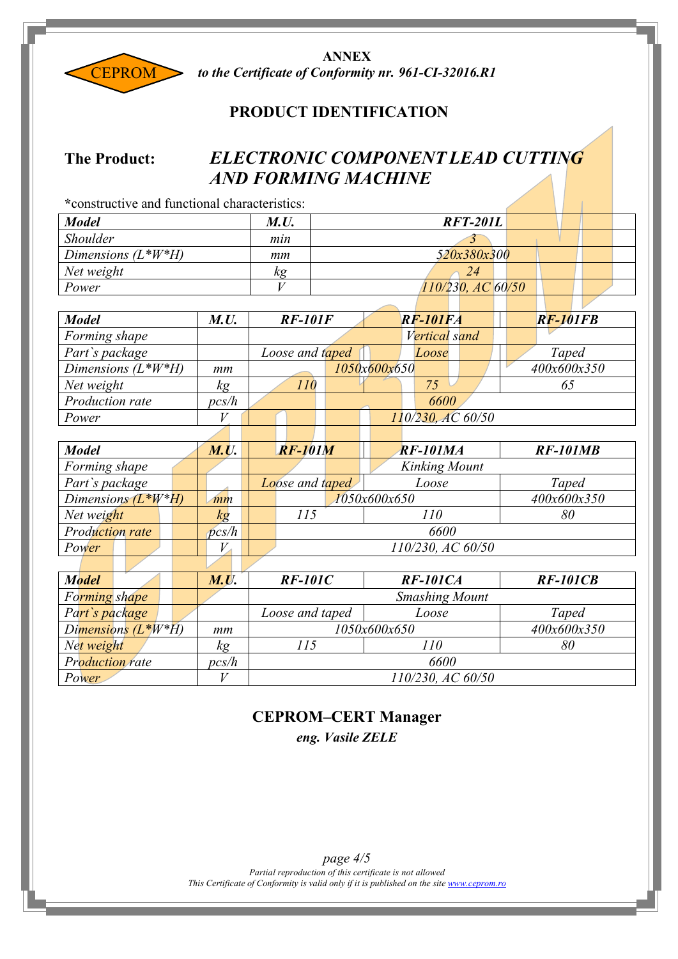

**ANNEX** *to the Certificate of Conformity nr. 961-CI-32016.R1*

#### **PRODUCT IDENTIFICATION**

## **The Product:** *ELECTRONIC COMPONENT LEAD CUTTING AND FORMING MACHINE*

| *constructive and functional characteristics: |             |                        |
|-----------------------------------------------|-------------|------------------------|
| <b>Model</b>                                  | <b>M.U.</b> | $RFT-201L$             |
| <b>Shoulder</b>                               | min         |                        |
| Dimensions $(L^*W^*H)$                        | mm          | 520x380x300            |
| Net weight                                    | кg          | 24                     |
| Power                                         |             | $110/230$ , AC $60/50$ |

 $\mathcal{L}$ 

| <b>Model</b>           | <b>M.U.</b> | <b>RF-101F</b>  |              | <b>RF-101FA</b>      | <b>RF-101FB</b> |
|------------------------|-------------|-----------------|--------------|----------------------|-----------------|
| Forming shape          |             |                 |              | Vertical sand        |                 |
| Part's package         |             | Loose and taped |              | Loose                | Taped           |
| Dimensions $(L^*W^*H)$ | mm          |                 | 1050x600x650 |                      | 400x600x350     |
| Net weight             |             | 10              |              | 75                   | 65              |
| Production rate        | pcs/h       |                 |              | 6600                 |                 |
| Power                  |             |                 |              | $110/230$ , AC 60/50 |                 |

| <b>Model</b>           | <b>M.U.</b> | $RF-101M$       | <b>RF-101MA</b>      | <b>RF-101MB</b> |  |  |  |
|------------------------|-------------|-----------------|----------------------|-----------------|--|--|--|
| Forming shape          |             |                 | <b>Kinking Mount</b> |                 |  |  |  |
| Part's package         |             | Loose and taped | Loose                | Taped           |  |  |  |
| Dimensions $(L^*W^*H)$ | mm          |                 | 1050x600x650         | 400x600x350     |  |  |  |
| Net weight             | κg          | 115             | 110                  | 80              |  |  |  |
| <b>Production rate</b> | pcs/h       |                 | 6600                 |                 |  |  |  |
| Power                  |             |                 | 110/230, AC 60/50    |                 |  |  |  |

| <b>Model</b>           |                              | M.U.  | $RF-101C$                   | $RF-101CA$            | $RF-101CB$ |  |  |  |
|------------------------|------------------------------|-------|-----------------------------|-----------------------|------------|--|--|--|
| Forming shape          |                              |       |                             | <b>Smashing Mount</b> |            |  |  |  |
| Part's package         |                              |       | Loose and taped             | Loose                 | Taped      |  |  |  |
|                        | Dimensions $(L^*W^*H)$<br>mm |       | 400x600x350<br>1050x600x650 |                       |            |  |  |  |
| Net weight             |                              | kg    | 115                         | 110                   | 80         |  |  |  |
| <b>Production rate</b> |                              | pcs/h | 6600                        |                       |            |  |  |  |
| Power                  |                              |       | 110/230, AC 60/50           |                       |            |  |  |  |

#### **CEPROM–CERT Manager**

*eng. Vasile ZELE*

*Partial reproduction of this certificate is not allowed This Certificate of Conformity is valid only if it is published on the site [www.ceprom.ro](http://www.ceprom.ro/) page 4/5*